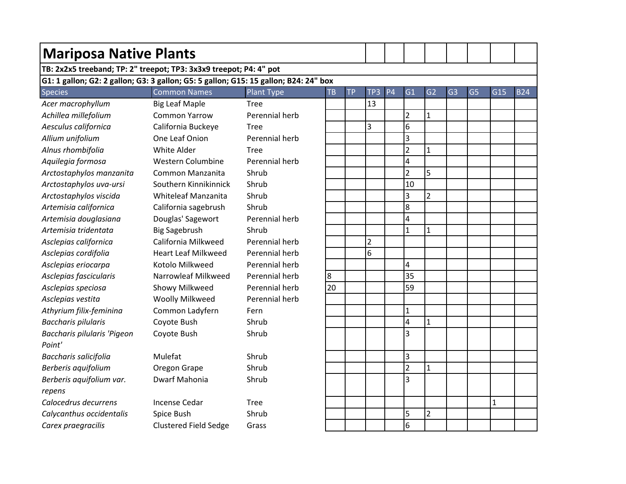| <b>Mariposa Native Plants</b>                                                        |                              |                |           |           |                |                |                         |                |                |                |             |            |
|--------------------------------------------------------------------------------------|------------------------------|----------------|-----------|-----------|----------------|----------------|-------------------------|----------------|----------------|----------------|-------------|------------|
| TB: 2x2x5 treeband; TP: 2" treepot; TP3: 3x3x9 treepot; P4: 4" pot                   |                              |                |           |           |                |                |                         |                |                |                |             |            |
| G1: 1 gallon; G2: 2 gallon; G3: 3 gallon; G5: 5 gallon; G15: 15 gallon; B24: 24" box |                              |                |           |           |                |                |                         |                |                |                |             |            |
| <b>Species</b>                                                                       | <b>Common Names</b>          | Plant Type     | <b>TB</b> | <b>TP</b> | TP3            | P <sub>4</sub> | G1                      | G <sub>2</sub> | G <sub>3</sub> | G <sub>5</sub> | G15         | <b>B24</b> |
| Acer macrophyllum                                                                    | <b>Big Leaf Maple</b>        | <b>Tree</b>    |           |           | 13             |                |                         |                |                |                |             |            |
| Achillea millefolium                                                                 | <b>Common Yarrow</b>         | Perennial herb |           |           |                |                | $\overline{2}$          | $\mathbf{1}$   |                |                |             |            |
| Aesculus californica                                                                 | California Buckeye           | <b>Tree</b>    |           |           | 3              |                | 6                       |                |                |                |             |            |
| Allium unifolium                                                                     | One Leaf Onion               | Perennial herb |           |           |                |                | $\overline{3}$          |                |                |                |             |            |
| Alnus rhombifolia                                                                    | White Alder                  | <b>Tree</b>    |           |           |                |                | $\overline{2}$          | $\mathbf 1$    |                |                |             |            |
| Aquilegia formosa                                                                    | Western Columbine            | Perennial herb |           |           |                |                | $\overline{\mathbf{4}}$ |                |                |                |             |            |
| Arctostaphylos manzanita                                                             | Common Manzanita             | Shrub          |           |           |                |                | $\overline{2}$          | 5              |                |                |             |            |
| Arctostaphylos uva-ursi                                                              | Southern Kinnikinnick        | Shrub          |           |           |                |                | 10                      |                |                |                |             |            |
| Arctostaphylos viscida                                                               | Whiteleaf Manzanita          | Shrub          |           |           |                |                | 3                       | $\overline{2}$ |                |                |             |            |
| Artemisia californica                                                                | California sagebrush         | Shrub          |           |           |                |                | 8                       |                |                |                |             |            |
| Artemisia douglasiana                                                                | Douglas' Sagewort            | Perennial herb |           |           |                |                | $\overline{\mathbf{4}}$ |                |                |                |             |            |
| Artemisia tridentata                                                                 | <b>Big Sagebrush</b>         | Shrub          |           |           |                |                | $\mathbf{1}$            | $\mathbf{1}$   |                |                |             |            |
| Asclepias californica                                                                | California Milkweed          | Perennial herb |           |           | $\overline{2}$ |                |                         |                |                |                |             |            |
| Asclepias cordifolia                                                                 | <b>Heart Leaf Milkweed</b>   | Perennial herb |           |           | 6              |                |                         |                |                |                |             |            |
| Asclepias eriocarpa                                                                  | Kotolo Milkweed              | Perennial herb |           |           |                |                | 4                       |                |                |                |             |            |
| Asclepias fascicularis                                                               | Narrowleaf Milkweed          | Perennial herb | 8         |           |                |                | 35                      |                |                |                |             |            |
| Asclepias speciosa                                                                   | Showy Milkweed               | Perennial herb | 20        |           |                |                | 59                      |                |                |                |             |            |
| Asclepias vestita                                                                    | Woolly Milkweed              | Perennial herb |           |           |                |                |                         |                |                |                |             |            |
| Athyrium filix-feminina                                                              | Common Ladyfern              | Fern           |           |           |                |                | $\mathbf 1$             |                |                |                |             |            |
| <b>Baccharis pilularis</b>                                                           | Coyote Bush                  | Shrub          |           |           |                |                | $\overline{\mathbf{4}}$ | $\mathbf 1$    |                |                |             |            |
| Baccharis pilularis 'Pigeon                                                          | Coyote Bush                  | Shrub          |           |           |                |                | $\overline{3}$          |                |                |                |             |            |
| Point'                                                                               |                              |                |           |           |                |                |                         |                |                |                |             |            |
| Baccharis salicifolia                                                                | Mulefat                      | Shrub          |           |           |                |                | $\overline{3}$          |                |                |                |             |            |
| Berberis aquifolium                                                                  | Oregon Grape                 | Shrub          |           |           |                |                | $\overline{2}$          | $\mathbf{1}$   |                |                |             |            |
| Berberis aquifolium var.                                                             | Dwarf Mahonia                | Shrub          |           |           |                |                | 3                       |                |                |                |             |            |
| repens                                                                               |                              |                |           |           |                |                |                         |                |                |                |             |            |
| Calocedrus decurrens                                                                 | <b>Incense Cedar</b>         | <b>Tree</b>    |           |           |                |                |                         |                |                |                | $\mathbf 1$ |            |
| Calycanthus occidentalis                                                             | Spice Bush                   | Shrub          |           |           |                |                | 5                       | $\overline{2}$ |                |                |             |            |
| Carex praegracilis                                                                   | <b>Clustered Field Sedge</b> | Grass          |           |           |                |                | 6                       |                |                |                |             |            |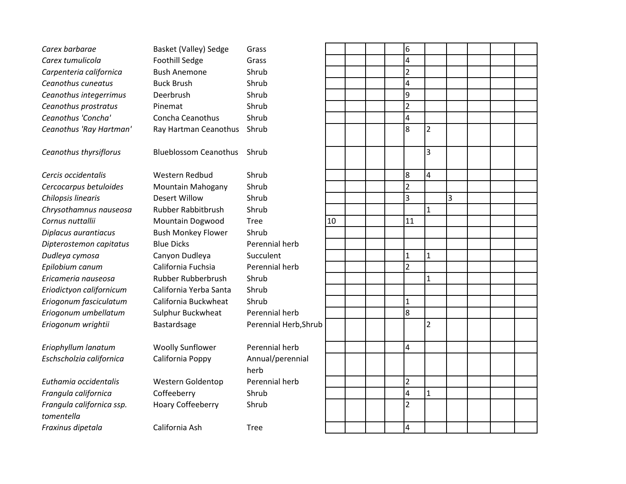| Carex barbarae            | <b>Basket (Valley) Sedge</b> | Grass                 |    |  | 6                       |                |   |  |  |
|---------------------------|------------------------------|-----------------------|----|--|-------------------------|----------------|---|--|--|
| Carex tumulicola          | <b>Foothill Sedge</b>        | Grass                 |    |  | $\overline{\mathbf{4}}$ |                |   |  |  |
| Carpenteria californica   | <b>Bush Anemone</b>          | Shrub                 |    |  | $\overline{2}$          |                |   |  |  |
| Ceanothus cuneatus        | <b>Buck Brush</b>            | Shrub                 |    |  | $\overline{\mathbf{4}}$ |                |   |  |  |
| Ceanothus integerrimus    | Deerbrush                    | Shrub                 |    |  | 9                       |                |   |  |  |
| Ceanothus prostratus      | Pinemat                      | Shrub                 |    |  | $\overline{2}$          |                |   |  |  |
| Ceanothus 'Concha'        | Concha Ceanothus             | Shrub                 |    |  | $\overline{a}$          |                |   |  |  |
| Ceanothus 'Ray Hartman'   | Ray Hartman Ceanothus        | Shrub                 |    |  | 8                       | $\overline{2}$ |   |  |  |
| Ceanothus thyrsiflorus    | <b>Blueblossom Ceanothus</b> | Shrub                 |    |  |                         | 3              |   |  |  |
| Cercis occidentalis       | Western Redbud               | Shrub                 |    |  | 8                       | 4              |   |  |  |
| Cercocarpus betuloides    | <b>Mountain Mahogany</b>     | Shrub                 |    |  | $\overline{2}$          |                |   |  |  |
| Chilopsis linearis        | <b>Desert Willow</b>         | Shrub                 |    |  | 3                       |                | 3 |  |  |
| Chrysothamnus nauseosa    | <b>Rubber Rabbitbrush</b>    | Shrub                 |    |  |                         | $\mathbf{1}$   |   |  |  |
| Cornus nuttallii          | Mountain Dogwood             | <b>Tree</b>           | 10 |  | 11                      |                |   |  |  |
| Diplacus aurantiacus      | <b>Bush Monkey Flower</b>    | Shrub                 |    |  |                         |                |   |  |  |
| Dipterostemon capitatus   | <b>Blue Dicks</b>            | Perennial herb        |    |  |                         |                |   |  |  |
| Dudleya cymosa            | Canyon Dudleya               | Succulent             |    |  | $\mathbf{1}$            | 1              |   |  |  |
| Epilobium canum           | California Fuchsia           | Perennial herb        |    |  | $\overline{2}$          |                |   |  |  |
| Ericameria nauseosa       | Rubber Rubberbrush           | Shrub                 |    |  |                         | 1              |   |  |  |
| Eriodictyon californicum  | California Yerba Santa       | Shrub                 |    |  |                         |                |   |  |  |
| Eriogonum fasciculatum    | California Buckwheat         | Shrub                 |    |  | $\mathbf{1}$            |                |   |  |  |
| Eriogonum umbellatum      | Sulphur Buckwheat            | Perennial herb        |    |  | 8                       |                |   |  |  |
| Eriogonum wrightii        | Bastardsage                  | Perennial Herb, Shrub |    |  |                         | 2              |   |  |  |
| Eriophyllum lanatum       | <b>Woolly Sunflower</b>      | Perennial herb        |    |  | 4                       |                |   |  |  |
| Eschscholzia californica  | California Poppy             | Annual/perennial      |    |  |                         |                |   |  |  |
|                           |                              | herb                  |    |  |                         |                |   |  |  |
| Euthamia occidentalis     | Western Goldentop            | Perennial herb        |    |  | $\overline{2}$          |                |   |  |  |
| Frangula californica      | Coffeeberry                  | Shrub                 |    |  | $\overline{4}$          | $\mathbf{1}$   |   |  |  |
| Frangula californica ssp. | <b>Hoary Coffeeberry</b>     | Shrub                 |    |  | $\overline{2}$          |                |   |  |  |
| tomentella                |                              |                       |    |  |                         |                |   |  |  |
| Fraxinus dipetala         | California Ash               | <b>Tree</b>           |    |  | $\overline{4}$          |                |   |  |  |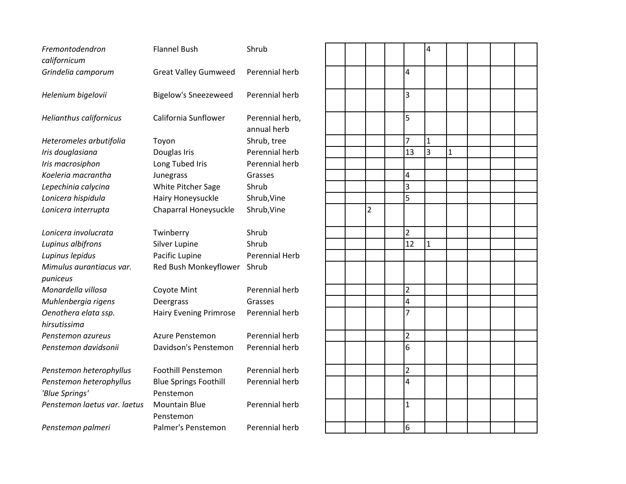| Fremontodendron<br>californicum      | <b>Flannel Bush</b>               | Shrub                          |  |                |                | 4              |              |
|--------------------------------------|-----------------------------------|--------------------------------|--|----------------|----------------|----------------|--------------|
| Grindelia camporum                   | <b>Great Valley Gumweed</b>       | Perennial herb                 |  |                | $\overline{4}$ |                |              |
| Helenium bigelovii                   | <b>Bigelow's Sneezeweed</b>       | Perennial herb                 |  |                | 3              |                |              |
| <b>Helianthus californicus</b>       | California Sunflower              | Perennial herb,<br>annual herb |  |                | 5              |                |              |
| Heteromeles arbutifolia              | Toyon                             | Shrub, tree                    |  |                | $\overline{7}$ | $\mathbf{1}$   |              |
| Iris douglasiana                     | Douglas Iris                      | Perennial herb                 |  |                | 13             | $\overline{3}$ | $\mathbf{1}$ |
| Iris macrosiphon                     | Long Tubed Iris                   | Perennial herb                 |  |                |                |                |              |
| Koeleria macrantha                   | Junegrass                         | Grasses                        |  |                | 4              |                |              |
| Lepechinia calycina                  | White Pitcher Sage                | Shrub                          |  |                | 3              |                |              |
| Lonicera hispidula                   | Hairy Honeysuckle                 | Shrub, Vine                    |  |                | 5              |                |              |
| Lonicera interrupta                  | Chaparral Honeysuckle             | Shrub, Vine                    |  | $\overline{2}$ |                |                |              |
| Lonicera involucrata                 | Twinberry                         | Shrub                          |  |                | $\overline{2}$ |                |              |
| Lupinus albifrons                    | Silver Lupine                     | Shrub                          |  |                | 12             | $\overline{1}$ |              |
| Lupinus lepidus                      | Pacific Lupine                    | <b>Perennial Herb</b>          |  |                |                |                |              |
| Mimulus aurantiacus var.<br>puniceus | Red Bush Monkeyflower Shrub       |                                |  |                |                |                |              |
| Monardella villosa                   | Coyote Mint                       | Perennial herb                 |  |                | $\overline{c}$ |                |              |
| Muhlenbergia rigens                  | Deergrass                         | Grasses                        |  |                | 4              |                |              |
| Oenothera elata ssp.<br>hirsutissima | <b>Hairy Evening Primrose</b>     | Perennial herb                 |  |                | 7              |                |              |
| Penstemon azureus                    | Azure Penstemon                   | Perennial herb                 |  |                | $\overline{2}$ |                |              |
| Penstemon davidsonii                 | Davidson's Penstemon              | Perennial herb                 |  |                | 6              |                |              |
| Penstemon heterophyllus              | <b>Foothill Penstemon</b>         | Perennial herb                 |  |                | $\overline{2}$ |                |              |
| Penstemon heterophyllus              | <b>Blue Springs Foothill</b>      | Perennial herb                 |  |                | 4              |                |              |
| 'Blue Springs'                       | Penstemon                         |                                |  |                |                |                |              |
| Penstemon laetus var. laetus         | <b>Mountain Blue</b><br>Penstemon | Perennial herb                 |  |                | $\mathbf{1}$   |                |              |
| Penstemon palmeri                    | Palmer's Penstemon                | Perennial herb                 |  |                | 6              |                |              |

| Shrub           |  |                |                                  | $\overline{\mathbf{4}}$ |              |  |  |
|-----------------|--|----------------|----------------------------------|-------------------------|--------------|--|--|
| Perennial herb  |  |                | $\overline{4}$                   |                         |              |  |  |
| Perennial herb  |  |                | 3                                |                         |              |  |  |
| Perennial herb, |  |                | 5                                |                         |              |  |  |
| annual herb     |  |                | $\overline{7}$                   | $\mathbf{1}$            |              |  |  |
| Shrub, tree     |  |                | 13                               | 3                       | $\mathbf{1}$ |  |  |
| Perennial herb  |  |                |                                  |                         |              |  |  |
| Perennial herb  |  |                |                                  |                         |              |  |  |
| Grasses         |  |                | $\overline{4}$<br>$\overline{3}$ |                         |              |  |  |
| Shrub           |  |                | 5                                |                         |              |  |  |
| Shrub, Vine     |  |                |                                  |                         |              |  |  |
| Shrub, Vine     |  | $\overline{2}$ |                                  |                         |              |  |  |
| Shrub           |  |                | $\overline{2}$                   |                         |              |  |  |
| Shrub           |  |                | 12                               | $\mathbf{1}$            |              |  |  |
| Perennial Herb  |  |                |                                  |                         |              |  |  |
| Shrub           |  |                |                                  |                         |              |  |  |
| Perennial herb  |  |                | $\overline{2}$                   |                         |              |  |  |
| Grasses         |  |                | $\overline{\mathbf{4}}$          |                         |              |  |  |
| Perennial herb  |  |                | $\overline{7}$                   |                         |              |  |  |
| Perennial herb  |  |                | $\overline{2}$                   |                         |              |  |  |
| Perennial herb  |  |                | 6                                |                         |              |  |  |
| Perennial herb  |  |                | $\overline{2}$                   |                         |              |  |  |
| Perennial herb  |  |                | $\overline{4}$                   |                         |              |  |  |
| Perennial herb  |  |                | $\mathbf{1}$                     |                         |              |  |  |
| Perennial herb  |  |                | 6                                |                         |              |  |  |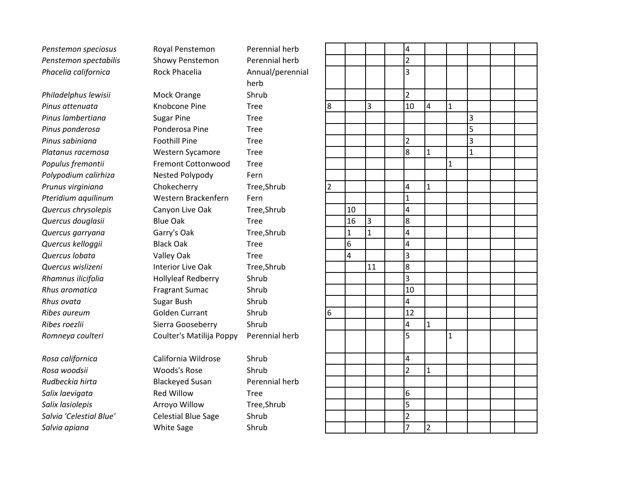Penstemon speciosus **Royal Penstemon** Perennial herb Penstemon spectabilis Showy Penstemon Perennial herb *Phacelia californica* Rock Phacelia Annual/perennial

**Rosa woodsii** Woods's Rose Shrub *Rudbeckia hirta* Blackeyed Susan Perennial herb **Salix laevigata Red Willow Tree Salix lasiolepis Arroyo Willow Tree,Shrub** *Salvia 'Celestial Blue'* Celestial Blue Sage Shrub **Salvia apiana White Sage** Shrub

*Philadelphus lewisii* Mock Orange Shrub *Pinus attenuata* Knobcone Pine Tree **Pinus lambertiana Sugar Pine** Tree **Pinus ponderosa Ponderosa Pine** Tree **Pinus sabiniana Foothill Pine Tree** *Platanus racemosa* Western Sycamore Tree *Populus fremontii* Fremont Cottonwood Tree *Polypodium calirhiza* Nested Polypody Fern **Prunus virginiana** Chokecherry Tree,Shrub *Pteridium aquilinum* Western Brackenfern Fern **Quercus chrysolepis** Canyon Live Oak Tree, Shrub *Quercus douglasii* Blue Oak Tree *Quercus garryana* Garry's Oak Tree,Shrub *Quercus kelloggii* Black Oak Tree *Quercus lobata* Valley Oak Tree **Quercus wislizeni Interior Live Oak** Tree, Shrub *Rhamnus ilicifolia* Hollyleaf Redberry Shrub **Rhus aromatica Fragrant Sumac** Shrub **Rhus ovata** Sugar Bush Shrub *Ribes aureum* Golden Currant Shrub **Ribes roezlii** Sierra Gooseberry Shrub *Romneya coulteri* Coulter's Matilija Poppy Perennial herb

*Rosa californica* California Wildrose Shrub

herb

|                         |                         |                         | $\overline{4}$                       |                |              |                |  |
|-------------------------|-------------------------|-------------------------|--------------------------------------|----------------|--------------|----------------|--|
|                         |                         |                         | $\overline{2}$                       |                |              |                |  |
|                         |                         |                         | $\overline{\mathbf{3}}$              |                |              |                |  |
|                         |                         |                         |                                      |                |              |                |  |
|                         |                         |                         | $\overline{2}$                       |                |              |                |  |
| 8                       |                         | 3                       | $\overline{10}$                      | 4              | $\mathbf{1}$ |                |  |
|                         |                         |                         |                                      |                |              | 3              |  |
|                         |                         |                         |                                      |                |              |                |  |
|                         |                         |                         | $\overline{2}$                       |                |              | $\frac{5}{3}$  |  |
|                         |                         |                         | $\overline{\bf 8}$                   | $\mathbf{1}$   |              | $\overline{1}$ |  |
|                         |                         |                         |                                      |                | $\mathbf{1}$ |                |  |
|                         |                         |                         |                                      |                |              |                |  |
| $\overline{\mathbf{c}}$ |                         |                         | $\overline{\mathbf{r}}$              | $\mathbf{1}$   |              |                |  |
|                         |                         |                         | $\overline{1}$                       |                |              |                |  |
|                         | 10                      |                         | $\overline{\mathbf{r}}$              |                |              |                |  |
|                         | 16                      | $\overline{\mathbf{3}}$ | 8                                    |                |              |                |  |
|                         | $\mathbf{1}$            | $\overline{1}$          | $\overline{4}$                       |                |              |                |  |
|                         | 6                       |                         | $\overline{4}$                       |                |              |                |  |
|                         | $\overline{\mathbf{r}}$ |                         | $\overline{3}$                       |                |              |                |  |
|                         |                         | 11                      | 8                                    |                |              |                |  |
|                         |                         |                         | $\overline{3}$                       |                |              |                |  |
|                         |                         |                         | $\overline{10}$                      |                |              |                |  |
|                         |                         |                         | $\overline{4}$                       |                |              |                |  |
| $\overline{6}$          |                         |                         | $\overline{12}$                      |                |              |                |  |
|                         |                         |                         | $\overline{4}$                       | $\mathbf{1}$   |              |                |  |
|                         |                         |                         |                                      |                | $\mathbf{1}$ |                |  |
|                         |                         |                         |                                      |                |              |                |  |
|                         |                         |                         | $\overline{4}$                       |                |              |                |  |
|                         |                         |                         | $\overline{2}$                       | $\mathbf{1}$   |              |                |  |
|                         |                         |                         |                                      |                |              |                |  |
|                         |                         |                         | $\overline{6}$                       |                |              |                |  |
|                         |                         |                         | $\overline{\overline{\overline{5}}}$ |                |              |                |  |
|                         |                         |                         | $\frac{2}{\sqrt{2}}$                 |                |              |                |  |
|                         |                         |                         | $\overline{7}$                       | $\overline{2}$ |              |                |  |
|                         |                         |                         |                                      |                |              |                |  |